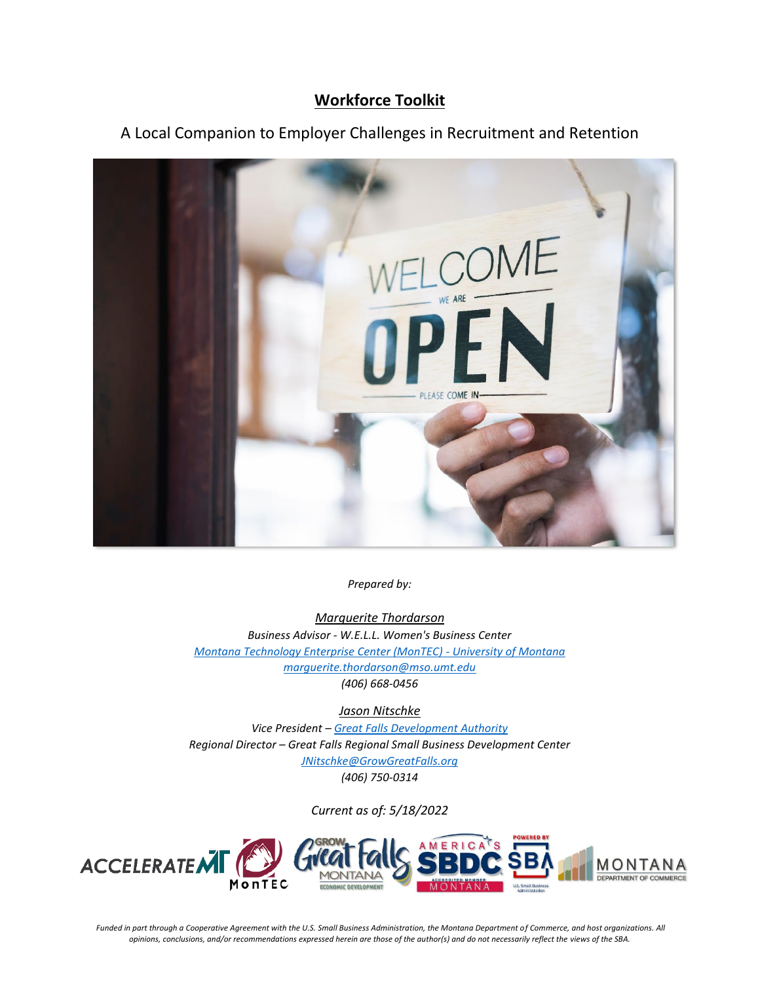## **Workforce Toolkit**

# A Local Companion to Employer Challenges in Recruitment and Retention



*Prepared by:* 

*Marguerite Thordarson Business Advisor - W.E.L.L. Women's Business Center [Montana Technology Enterprise Center \(MonTEC\) -](https://www.umt.edu/passion/women-business-center/default.php) University of Montana [marguerite.thordarson@mso.umt.edu](mailto:marguerite.thordarson@mso.umt.edu) (406) 668-0456*

*Jason Nitschke*

*Vice President – [Great Falls Development Authority](https://growgreatfallsmontana.org/) Regional Director – Great Falls Regional Small Business Development Center [JNitschke@GrowGreatFalls.org](mailto:JNitschke@GrowGreatFalls.org) (406) 750-0314*

*Current as of: 5/18/2022*



*Funded in part through a Cooperative Agreement with the U.S. Small Business Administration, the Montana Department of Commerce, and host organizations. All opinions, conclusions, and/or recommendations expressed herein are those of the author(s) and do not necessarily reflect the views of the SBA.*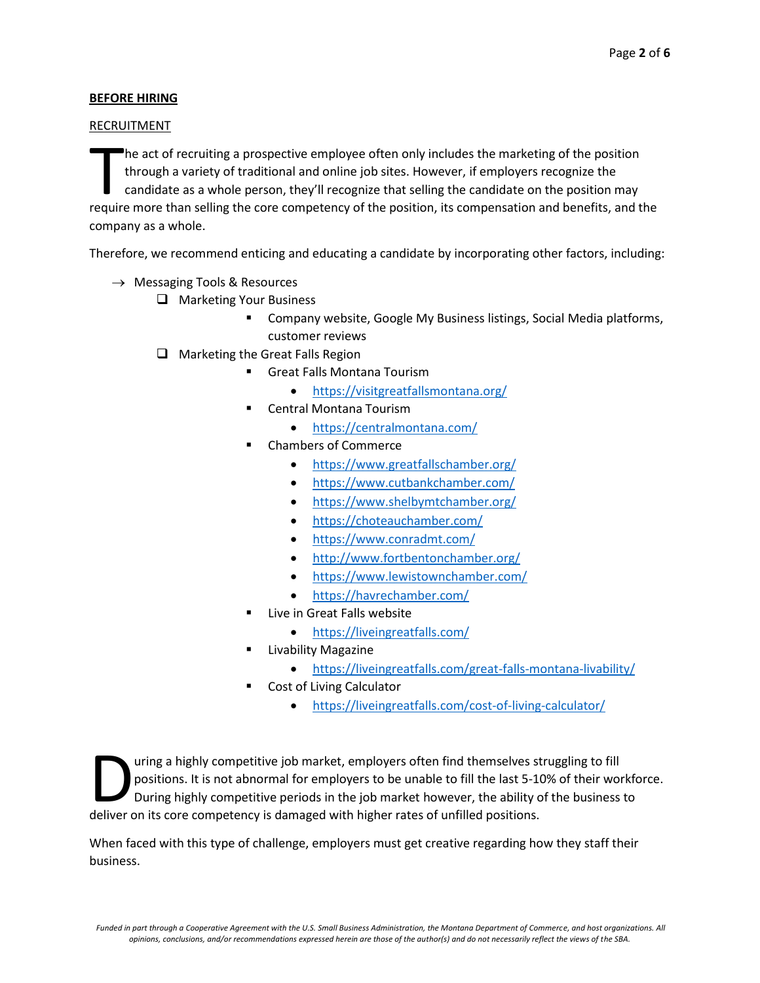### **BEFORE HIRING**

#### RECRUITMENT

he act of recruiting a prospective employee often only includes the marketing of the position through a variety of traditional and online job sites. However, if employers recognize the candidate as a whole person, they'll recognize that selling the candidate on the position may The act of recruiting a prospective employee often only includes the marketing of the position<br>through a variety of traditional and online job sites. However, if employers recognize the<br>candidate as a whole person, they'll company as a whole.

Therefore, we recommend enticing and educating a candidate by incorporating other factors, including:

- $\rightarrow$  Messaging Tools & Resources
	- ❑ Marketing Your Business
		- Company website, Google My Business listings, Social Media platforms, customer reviews
		- ❑ Marketing the Great Falls Region
			- Great Falls Montana Tourism
				- <https://visitgreatfallsmontana.org/>
			- **Central Montana Tourism** 
				- <https://centralmontana.com/>
			- Chambers of Commerce
				- <https://www.greatfallschamber.org/>
				- <https://www.cutbankchamber.com/>
				- <https://www.shelbymtchamber.org/>
				- <https://choteauchamber.com/>
				- <https://www.conradmt.com/>
				- <http://www.fortbentonchamber.org/>
				- <https://www.lewistownchamber.com/>
				- <https://havrechamber.com/>
			- Live in Great Falls website
				- <https://liveingreatfalls.com/>
				- **Livability Magazine** 
					- <https://liveingreatfalls.com/great-falls-montana-livability/>
			- Cost of Living Calculator
				- <https://liveingreatfalls.com/cost-of-living-calculator/>

uring a highly competitive job market, employers often find themselves struggling to fill positions. It is not abnormal for employers to be unable to fill the last 5-10% of their workforce. During highly competitive periods in the job market however, the ability of the business to I uring a highly competitive job market, employers often find themselves st positions. It is not abnormal for employers to be unable to fill the last 5-10 During highly competitive periods in the job market however, the ab

When faced with this type of challenge, employers must get creative regarding how they staff their business.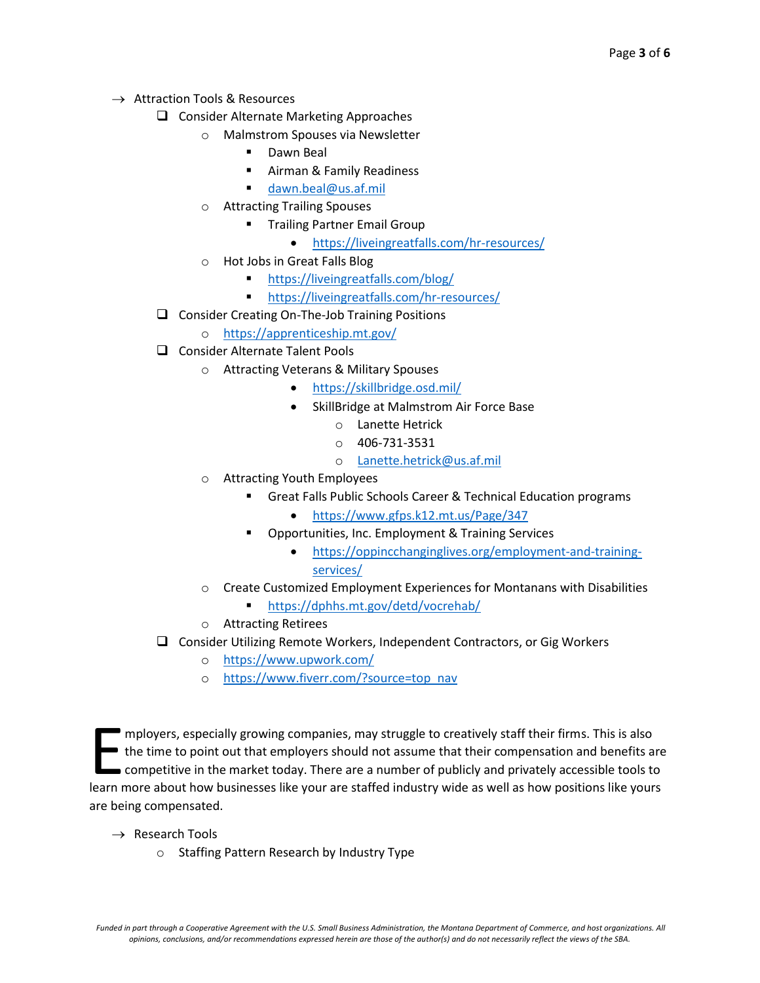- $\rightarrow$  Attraction Tools & Resources
	- ❑ Consider Alternate Marketing Approaches
		- o Malmstrom Spouses via Newsletter
			- Dawn Beal
			- Airman & Family Readiness
			- [dawn.beal@us.af.mil](mailto:dawn.beal@us.af.mil)
		- o Attracting Trailing Spouses
			- **Trailing Partner Email Group** 
				- <https://liveingreatfalls.com/hr-resources/>
		- o Hot Jobs in Great Falls Blog
			- <https://liveingreatfalls.com/blog/>
			- <https://liveingreatfalls.com/hr-resources/>
	- ❑ Consider Creating On-The-Job Training Positions
		- o <https://apprenticeship.mt.gov/>
	- ❑ Consider Alternate Talent Pools
		- o Attracting Veterans & Military Spouses
			- <https://skillbridge.osd.mil/>
				- SkillBridge at Malmstrom Air Force Base
					- o Lanette Hetrick
					- $O$  406-731-3531
					- o [Lanette.hetrick@us.af.mil](mailto:Lanette.hetrick@us.af.mil)
		- o Attracting Youth Employees
			- **E** Great Falls Public Schools Career & Technical Education programs
				- <https://www.gfps.k12.mt.us/Page/347>
			- Opportunities, Inc. Employment & Training Services
				- [https://oppincchanginglives.org/employment-and-training](https://oppincchanginglives.org/employment-and-training-services/)[services/](https://oppincchanginglives.org/employment-and-training-services/)
		- o Create Customized Employment Experiences for Montanans with Disabilities
			- <https://dphhs.mt.gov/detd/vocrehab/>
		- o Attracting Retirees
	- ❑ Consider Utilizing Remote Workers, Independent Contractors, or Gig Workers
		- o <https://www.upwork.com/>
		- o [https://www.fiverr.com/?source=top\\_nav](https://www.fiverr.com/?source=top_nav)

mployers, especially growing companies, may struggle to creatively staff their firms. This is also the time to point out that employers should not assume that their compensation and benefits are competitive in the market today. There are a number of publicly and privately accessible tools to Imployers, especially growing companies, may struggle to creatively staff their firms. This is also<br>the time to point out that employers should not assume that their compensation and benefits are<br>competitive in the market are being compensated.

- $\rightarrow$  Research Tools
	- o Staffing Pattern Research by Industry Type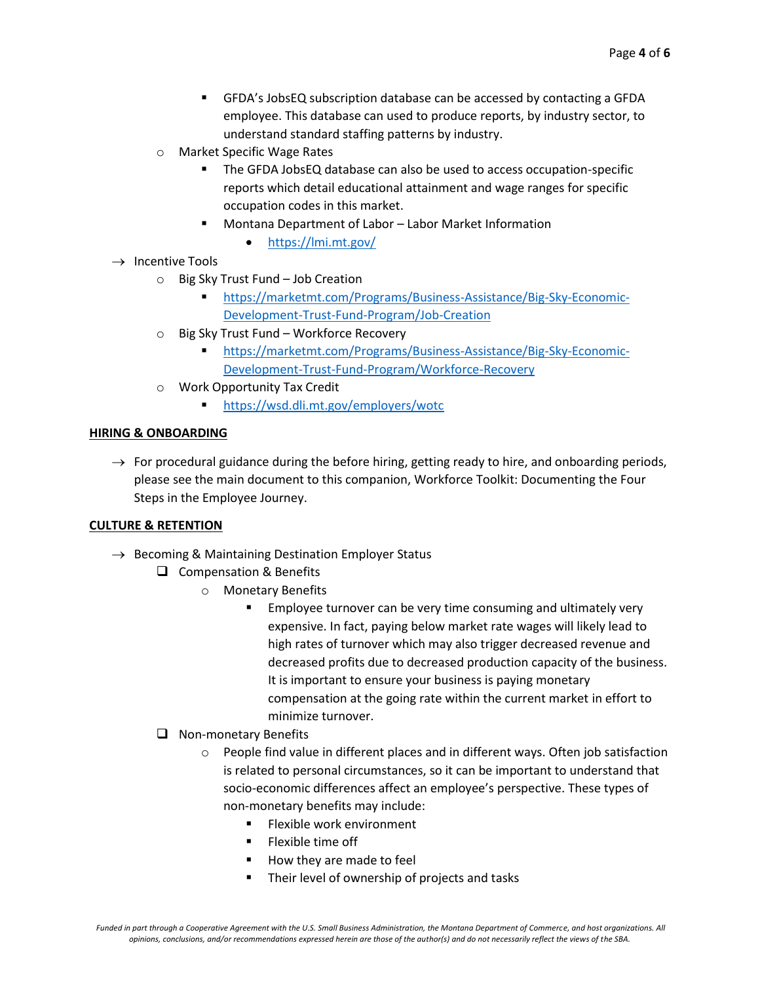- GFDA's JobsEQ subscription database can be accessed by contacting a GFDA employee. This database can used to produce reports, by industry sector, to understand standard staffing patterns by industry.
- o Market Specific Wage Rates
	- The GFDA JobsEQ database can also be used to access occupation-specific reports which detail educational attainment and wage ranges for specific occupation codes in this market.
	- Montana Department of Labor Labor Market Information

• <https://lmi.mt.gov/>

- $\rightarrow$  Incentive Tools
	- o Big Sky Trust Fund Job Creation
		- [https://marketmt.com/Programs/Business-Assistance/Big-Sky-Economic-](https://marketmt.com/Programs/Business-Assistance/Big-Sky-Economic-Development-Trust-Fund-Program/Job-Creation)[Development-Trust-Fund-Program/Job-Creation](https://marketmt.com/Programs/Business-Assistance/Big-Sky-Economic-Development-Trust-Fund-Program/Job-Creation)
	- o Big Sky Trust Fund Workforce Recovery
		- [https://marketmt.com/Programs/Business-Assistance/Big-Sky-Economic-](https://marketmt.com/Programs/Business-Assistance/Big-Sky-Economic-Development-Trust-Fund-Program/Workforce-Recovery)[Development-Trust-Fund-Program/Workforce-Recovery](https://marketmt.com/Programs/Business-Assistance/Big-Sky-Economic-Development-Trust-Fund-Program/Workforce-Recovery)
	- o Work Opportunity Tax Credit
		- <https://wsd.dli.mt.gov/employers/wotc>

#### **HIRING & ONBOARDING**

 $\rightarrow$  For procedural guidance during the before hiring, getting ready to hire, and onboarding periods, please see the main document to this companion, Workforce Toolkit: Documenting the Four Steps in the Employee Journey.

#### **CULTURE & RETENTION**

- $\rightarrow$  Becoming & Maintaining Destination Employer Status
	- ❑ Compensation & Benefits
		- o Monetary Benefits
			- Employee turnover can be very time consuming and ultimately very expensive. In fact, paying below market rate wages will likely lead to high rates of turnover which may also trigger decreased revenue and decreased profits due to decreased production capacity of the business. It is important to ensure your business is paying monetary compensation at the going rate within the current market in effort to minimize turnover.
	- ❑ Non-monetary Benefits
		- $\circ$  People find value in different places and in different ways. Often job satisfaction is related to personal circumstances, so it can be important to understand that socio-economic differences affect an employee's perspective. These types of non-monetary benefits may include:
			- Flexible work environment
			- **Exible time off**
			- How they are made to feel
			- Their level of ownership of projects and tasks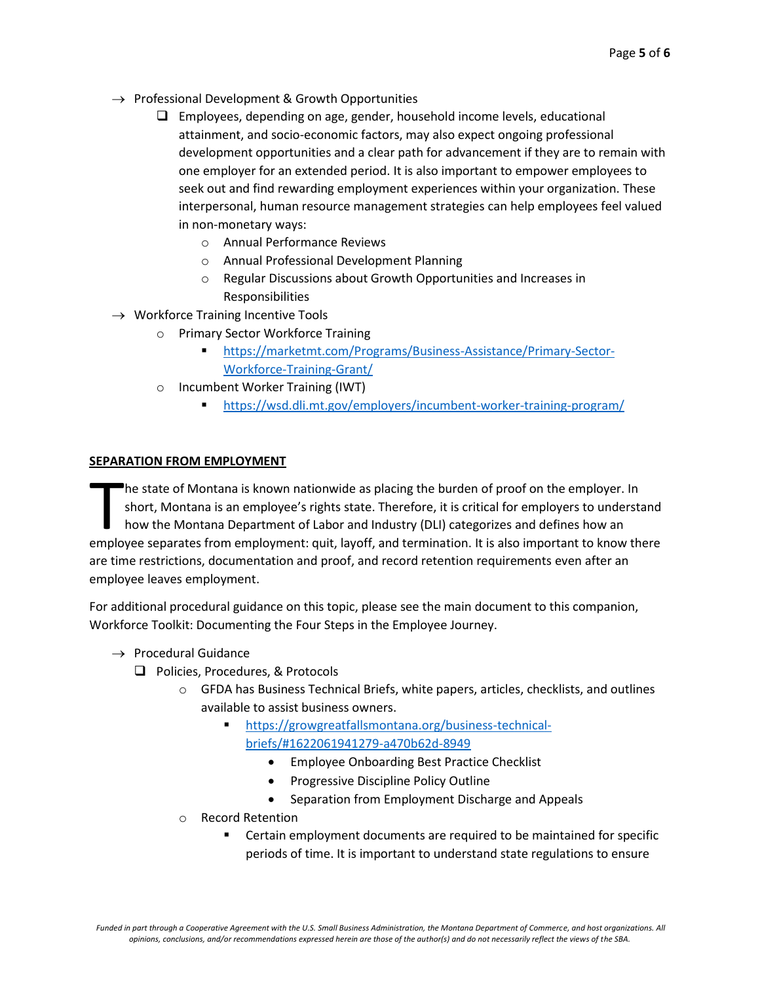- $\rightarrow$  Professional Development & Growth Opportunities
	- ❑ Employees, depending on age, gender, household income levels, educational attainment, and socio-economic factors, may also expect ongoing professional development opportunities and a clear path for advancement if they are to remain with one employer for an extended period. It is also important to empower employees to seek out and find rewarding employment experiences within your organization. These interpersonal, human resource management strategies can help employees feel valued in non-monetary ways:
		- o Annual Performance Reviews
		- o Annual Professional Development Planning
		- o Regular Discussions about Growth Opportunities and Increases in Responsibilities
- $\rightarrow$  Workforce Training Incentive Tools
	- o Primary Sector Workforce Training
		- [https://marketmt.com/Programs/Business-Assistance/Primary-Sector-](https://marketmt.com/Programs/Business-Assistance/Primary-Sector-Workforce-Training-Grant/)[Workforce-Training-Grant/](https://marketmt.com/Programs/Business-Assistance/Primary-Sector-Workforce-Training-Grant/)
	- o Incumbent Worker Training (IWT)
		- <https://wsd.dli.mt.gov/employers/incumbent-worker-training-program/>

#### **SEPARATION FROM EMPLOYMENT**

he state of Montana is known nationwide as placing the burden of proof on the employer. In short, Montana is an employee's rights state. Therefore, it is critical for employers to understand how the Montana Department of Labor and Industry (DLI) categorizes and defines how an The state of Montana is known nationwide as placing the burden of proof on the employer. In short, Montana is an employee's rights state. Therefore, it is critical for employers to understand how the Montana Department of are time restrictions, documentation and proof, and record retention requirements even after an employee leaves employment.

For additional procedural guidance on this topic, please see the main document to this companion, Workforce Toolkit: Documenting the Four Steps in the Employee Journey.

- $\rightarrow$  Procedural Guidance
	- ❑ Policies, Procedures, & Protocols
		- $\circ$  GFDA has Business Technical Briefs, white papers, articles, checklists, and outlines available to assist business owners.
			- [https://growgreatfallsmontana.org/business-technical](https://growgreatfallsmontana.org/business-technical-briefs/#1622061941279-a470b62d-8949)[briefs/#1622061941279-a470b62d-8949](https://growgreatfallsmontana.org/business-technical-briefs/#1622061941279-a470b62d-8949)
				- Employee Onboarding Best Practice Checklist
				- Progressive Discipline Policy Outline
				- Separation from Employment Discharge and Appeals
		- o Record Retention
			- Certain employment documents are required to be maintained for specific periods of time. It is important to understand state regulations to ensure